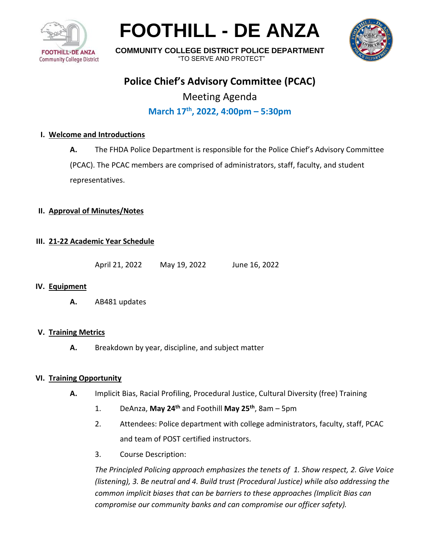

# **FOOTHILL - DE ANZA**



**COMMUNITY COLLEGE DISTRICT POLICE DEPARTMENT** "TO SERVE AND PROTECT"

## **Police Chief's Advisory Committee (PCAC)**

Meeting Agenda

### **March 17th , 2022, 4:00pm – 5:30pm**

#### **I. Welcome and Introductions**

**A.** The FHDA Police Department is responsible for the Police Chief's Advisory Committee

(PCAC). The PCAC members are comprised of administrators, staff, faculty, and student representatives.

#### **II. Approval of Minutes/Notes**

#### **III. 21-22 Academic Year Schedule**

April 21, 2022 May 19, 2022 June 16, 2022

#### **IV. Equipment**

**A.** AB481 updates

#### **V. Training Metrics**

**A.** Breakdown by year, discipline, and subject matter

#### **VI. Training Opportunity**

- **A.** Implicit Bias, Racial Profiling, Procedural Justice, Cultural Diversity (free) Training
	- 1. DeAnza, **May 24th** and Foothill **May 25th**, 8am 5pm
	- 2. Attendees: Police department with college administrators, faculty, staff, PCAC and team of POST certified instructors.
	- 3. Course Description:

*The Principled Policing approach emphasizes the tenets of 1. Show respect, 2. Give Voice (listening), 3. Be neutral and 4. Build trust (Procedural Justice) while also addressing the common implicit biases that can be barriers to these approaches (Implicit Bias can compromise our community banks and can compromise our officer safety).*